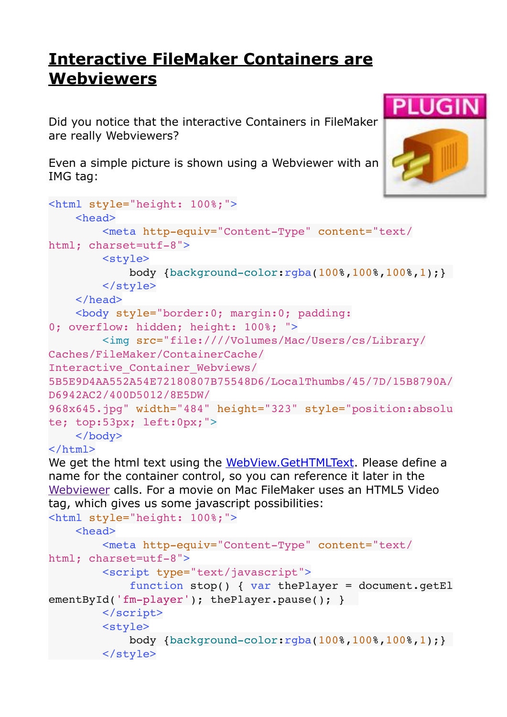## **[Interactive FileMaker Containers are](https://www.mbsplugins.de/archive/2017-01-31/Interactive_FileMaker_Containe)  [Webviewers](https://www.mbsplugins.de/archive/2017-01-31/Interactive_FileMaker_Containe)**

Did you notice that the interactive Containers in FileMaker are really Webviewers?

Even a simple picture is shown using a Webviewer with an IMG tag:



```
<html style="height: 100%;">
    <head>
                 <meta http-equiv="Content-Type" content="text/
html; charset=utf-8">
                <style>
                         body {background-color:rgba(100%,100%,100%,1);}
                 </style>
        </head>
        <body style="border:0; margin:0; padding:
0; overflow: hidden; height: 100%; ">
                 <img src="file:////Volumes/Mac/Users/cs/Library/
Caches/FileMaker/ContainerCache/
Interactive_Container_Webviews/
5B5E9D4AA552A54E72180807B75548D6/LocalThumbs/45/7D/15B8790A/
D6942AC2/400D5012/8E5DW/
968x645.jpg" width="484" height="323" style="position:absolu
te; top:53px; left:0px;">
        </body>
```
## </html>

We get the html text using the [WebView.GetHTMLText.](http://www.mbsplugins.eu/WebViewGetHTMLText.shtml) Please define a name for the container control, so you can reference it later in the [Webviewer](http://www.mbsplugins.eu/component_WebView.shtml) calls. For a movie on Mac FileMaker uses an HTML5 Video tag, which gives us some javascript possibilities:

```
<html style="height: 100%;">
```

```
    <head>
                 <meta http-equiv="Content-Type" content="text/
html; charset=utf-8">
                 <script type="text/javascript">
                           function stop() { var thePlayer = document.getEl
ementById('fm-player'); thePlayer.pause(); }
                  </script>
                 <style>
                           body {background-color:rgba(100%,100%,100%,1);}
                  </style>
```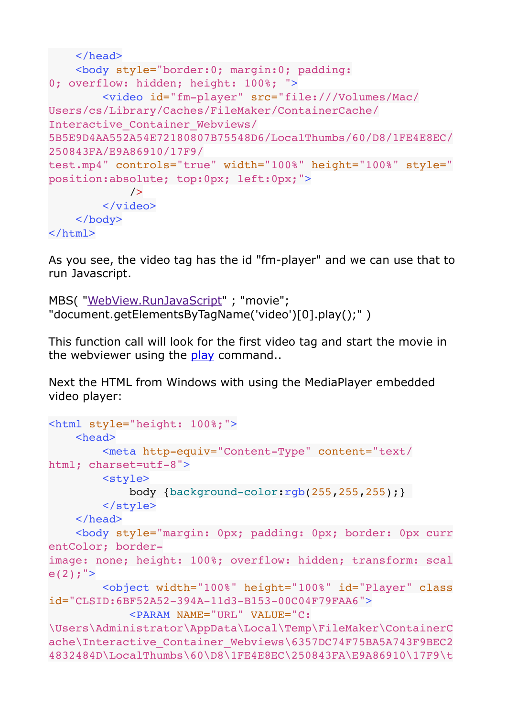```
    </head>
        <body style="border:0; margin:0; padding:
0; overflow: hidden; height: 100%; ">
                <video id="fm-player" src="file:///Volumes/Mac/
Users/cs/Library/Caches/FileMaker/ContainerCache/
Interactive_Container_Webviews/
5B5E9D4AA552A54E72180807B75548D6/LocalThumbs/60/D8/1FE4E8EC/
250843FA/E9A86910/17F9/
test.mp4" controls="true" width="100%" height="100%" style="
position:absolute; top:0px; left:0px;">
             /        </video>
        </body>
</html>
```
As you see, the video tag has the id "fm-player" and we can use that to run Javascript.

```
MBS( "WebView.RunJavaScript" ; "movie"; 
"document.getElementsByTagName('video')[0].play();" )
```
This function call will look for the first video tag and start the movie in the webviewer using the [play](http://www.w3schools.com/tags/av_met_play.asp) command..

Next the HTML from Windows with using the MediaPlayer embedded video player:

```
<html style="height: 100%;">
        <head>
                <meta http-equiv="Content-Type" content="text/
html; charset=utf-8">
                <style>
                         body {background-color:rgb(255,255,255);}
                </style>
        </head>
        <body style="margin: 0px; padding: 0px; border: 0px curr
entColor; border-
image: none; height: 100%; overflow: hidden; transform: scal
e(2); ">
                <object width="100%" height="100%" id="Player" class
id="CLSID:6BF52A52-394A-11d3-B153-00C04F79FAA6">
                         <PARAM NAME="URL" VALUE="C:
\Users\Administrator\AppData\Local\Temp\FileMaker\ContainerC
ache\Interactive Container Webviews\6357DC74F75BA5A743F9BEC2
4832484D\LocalThumbs\60\D8\1FE4E8EC\250843FA\E9A86910\17F9\t
```